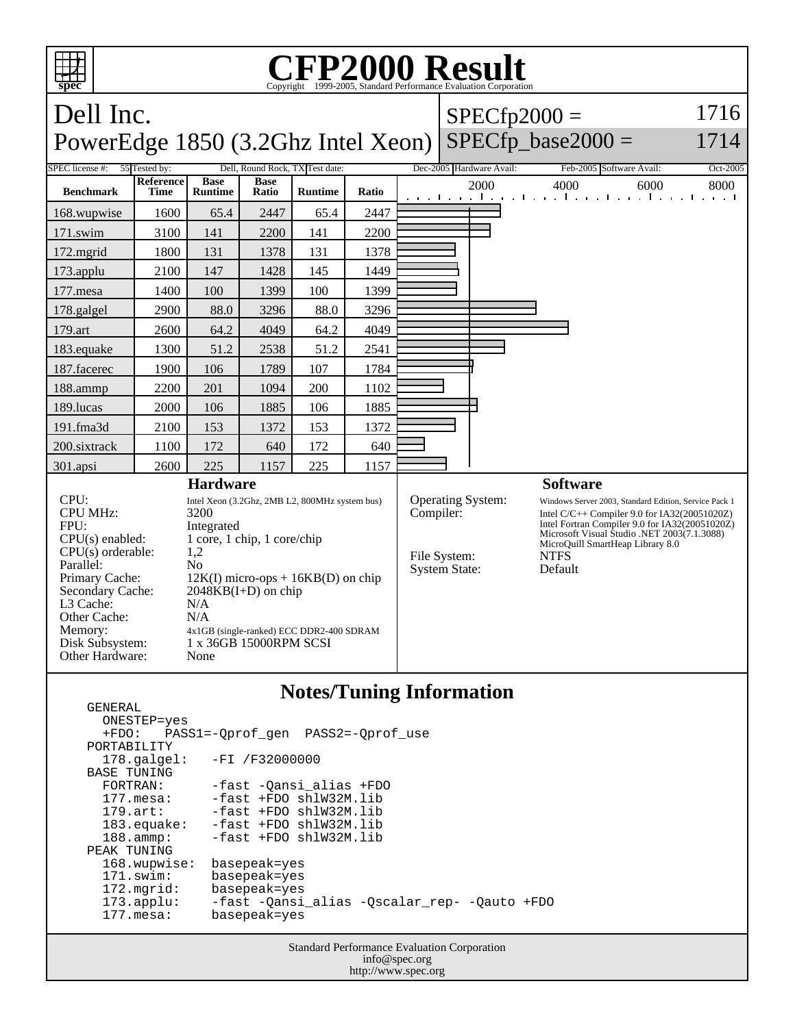

## **Notes/Tuning Information**

 GENERAL ONESTEP=yes +FDO: PASS1=-Qprof\_gen PASS2=-Qprof\_use PORTABILITY<br>178.galgel: -FI /F32000000 BASE TUNING FORTRAN: -fast -Qansi\_alias +FDO 177.mesa: -fast +FDO shlW32M.lib<br>179.art: -fast +FDO shlW32M.lib -fast +FDO shlW32M.lib 183.equake: -fast +FDO shlW32M.lib 188.ammp: -fast +FDO shlW32M.lib PEAK TUNING 168.wupwise: basepeak=yes<br>171.swim: basepeak=yes 171.swim: basepeak=yes<br>172.mgrid: basepeak=yes 172.mgrid: basepeak=yes 173.applu: -fast -Qansi\_alias -Qscalar\_rep- -Qauto +FDO 177.mesa: basepeak=yes

> Standard Performance Evaluation Corporation info@spec.org http://www.spec.org